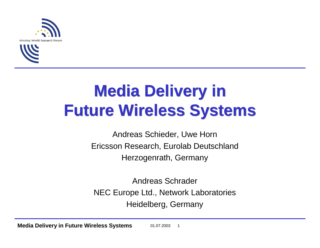



# **Media Delivery in Media Delivery in Future Wireless Systems Future Wireless Systems**

Andreas Schieder, Uwe Horn Ericsson Research, Eurolab Deutschland Herzogenrath, Germany

Andreas Schrader NEC Europe Ltd., Network Laboratories Heidelberg, Germany

**Media Delivery in Future Wireless Systems** 01.07.2003 1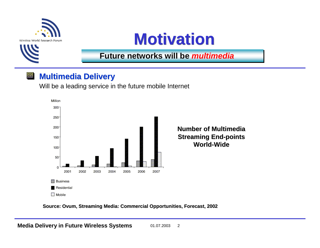



**Future networks will be Future networks will be** *multimedia multimedia* 

#### **Multimedia Delivery Multimedia Delivery** 回

Will be a leading service in the future mobile Internet



**Source: Ovum, Streaming Media: Commercial Opportunities, Forecast, 2002**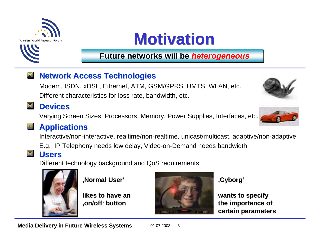

# **Motivation Motivation**

## **Future networks will be** *heterogeneous*

#### $\vert \Box \vert$ **Network Access Technologies**

Modem, ISDN, xDSL, Ethernet, ATM, GSM/GPRS, UMTS, WLAN, etc. Different characteristics for loss rate, bandwidth, etc.

## **Devices Devices**

Varying Screen Sizes, Processors, Memory, Power Supplies, Interfaces, etc.

## **图 Applications**

Interactive/non-interactive, realtime/non-realtime, unicast/multicast, adaptive/non-adaptive

E.g. IP Telephony needs low delay, Video-on-Demand needs bandwidth

## **Users**

Different technology background and QoS requirements



**'Normal User' 'Normal User'**

**likes to have an likes to have an'on/off' button 'on/off' button**



### **'Cyborg'**

**wants to specify wants to specify the importance of the importance of certain parameters certain parameters**

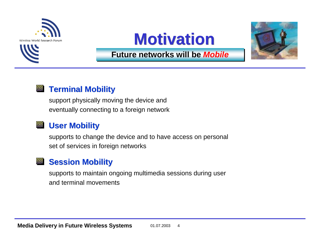



## **Motivation Motivation**



### **Future networks will be Future networks will be** *Mobile Mobile*

#### **Terminal Mobility Terminal Mobility** OI

support physically moving the device and eventually connecting to a foreign network

#### 回 **User Mobility User Mobility**

supports to change the device and to have access on personal set of services in foreign networks

## **Session Mobility Session Mobility**

supports to maintain ongoing multimedia sessions during user and terminal movements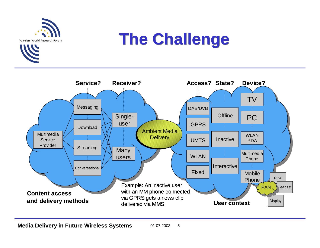



## **The Challenge The Challenge**

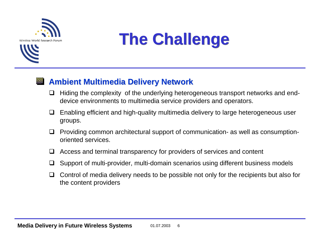



# **The Challenge The Challenge**

#### <u>ا ا</u> **Ambient Multimedia Delivery Network Ambient Multimedia Delivery Network**

- $\Box$  Hiding the complexity of the underlying heterogeneous transport networks and enddevice environments to multimedia service providers and operators.
- $\Box$  Enabling efficient and high-quality multimedia delivery to large heterogeneous user groups.
- $\Box$  Providing common architectural support of communication- as well as consumptionoriented services.
- $\sqcup$ Access and terminal transparency for providers of services and content
- $\sqcup$ Support of multi-provider, multi-domain scenarios using different business models
- $\Box$  Control of media delivery needs to be possible not only for the recipients but also for the content providers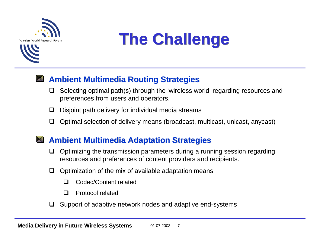



#### **Ambient Multimedia Routing Strategies Ambient Multimedia Routing Strategies**  $|\blacksquare|$

- $\Box$  Selecting optimal path(s) through the 'wireless world' regarding resources and preferences from users and operators.
- $\sqcup$  . Disjoint path delivery for individual media streams
- $\Box$ Optimal selection of delivery means (broadcast, multicast, unicast, anycast)

#### **Ambient Multimedia Adaptation Strategies Ambient Multimedia Adaptation Strategies** $\vert \blacksquare \vert$

- $\Box$  Optimizing the transmission parameters during a running session regarding resources and preferences of content providers and recipients.
- $\Box$  Optimization of the mix of available adaptation means
	- $\Box$ Codec/Content related
	- $\Box$ Protocol related
- $\Box$  Support of adaptive network nodes and adaptive end-systems